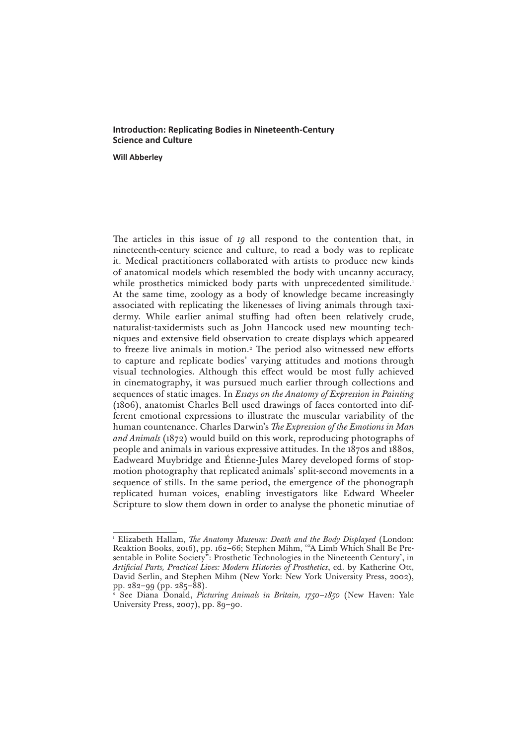# **Introduction: Replicating Bodies in Nineteenth-Century Science and Culture**

**Will Abberley**

The articles in this issue of *19* all respond to the contention that, in nineteenth-century science and culture, to read a body was to replicate it. Medical practitioners collaborated with artists to produce new kinds of anatomical models which resembled the body with uncanny accuracy, while prosthetics mimicked body parts with unprecedented similitude.<sup>1</sup> At the same time, zoology as a body of knowledge became increasingly associated with replicating the likenesses of living animals through taxidermy. While earlier animal stuffing had often been relatively crude, naturalist-taxidermists such as John Hancock used new mounting techniques and extensive field observation to create displays which appeared to freeze live animals in motion.2 The period also witnessed new efforts to capture and replicate bodies' varying attitudes and motions through visual technologies. Although this effect would be most fully achieved in cinematography, it was pursued much earlier through collections and sequences of static images. In *Essays on the Anatomy of Expression in Painting* (1806), anatomist Charles Bell used drawings of faces contorted into different emotional expressions to illustrate the muscular variability of the human countenance. Charles Darwin's *The Expression of the Emotions in Man and Animals* (1872) would build on this work, reproducing photographs of people and animals in various expressive attitudes. In the 1870s and 1880s, Eadweard Muybridge and Étienne-Jules Marey developed forms of stopmotion photography that replicated animals' split-second movements in a sequence of stills. In the same period, the emergence of the phonograph replicated human voices, enabling investigators like Edward Wheeler Scripture to slow them down in order to analyse the phonetic minutiae of

<sup>1</sup> Elizabeth Hallam, *The Anatomy Museum: Death and the Body Displayed* (London: Reaktion Books, 2016), pp. 162–66; Stephen Mihm, '"A Limb Which Shall Be Presentable in Polite Society": Prosthetic Technologies in the Nineteenth Century', in *Artificial Parts, Practical Lives: Modern Histories of Prosthetics*, ed. by Katherine Ott, David Serlin, and Stephen Mihm (New York: New York University Press, 2002), pp. 282–99 (pp. 285–88).

<sup>2</sup> See Diana Donald, *Picturing Animals in Britain, 1750–1850* (New Haven: Yale University Press, 2007), pp. 89–90.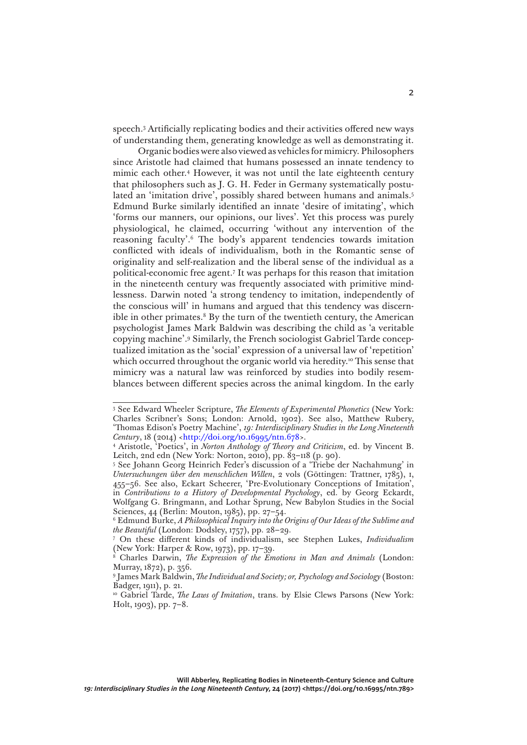speech.3 Artificially replicating bodies and their activities offered new ways of understanding them, generating knowledge as well as demonstrating it.

Organic bodies were also viewed as vehicles for mimicry. Philosophers since Aristotle had claimed that humans possessed an innate tendency to mimic each other.4 However, it was not until the late eighteenth century that philosophers such as J. G. H. Feder in Germany systematically postulated an 'imitation drive', possibly shared between humans and animals.<sup>5</sup> Edmund Burke similarly identified an innate 'desire of imitating', which 'forms our manners, our opinions, our lives'. Yet this process was purely physiological, he claimed, occurring 'without any intervention of the reasoning faculty'.6 The body's apparent tendencies towards imitation conflicted with ideals of individualism, both in the Romantic sense of originality and self-realization and the liberal sense of the individual as a political-economic free agent.7 It was perhaps for this reason that imitation in the nineteenth century was frequently associated with primitive mindlessness. Darwin noted 'a strong tendency to imitation, independently of the conscious will' in humans and argued that this tendency was discernible in other primates.<sup>8</sup> By the turn of the twentieth century, the American psychologist James Mark Baldwin was describing the child as 'a veritable copying machine'.9 Similarly, the French sociologist Gabriel Tarde conceptualized imitation as the 'social' expression of a universal law of 'repetition' which occurred throughout the organic world via heredity.<sup>10</sup> This sense that mimicry was a natural law was reinforced by studies into bodily resemblances between different species across the animal kingdom. In the early

<sup>3</sup> See Edward Wheeler Scripture, *The Elements of Experimental Phonetics* (New York: Charles Scribner's Sons; London: Arnold, 1902). See also, Matthew Rubery, 'Thomas Edison's Poetry Machine', *19: Interdisciplinary Studies in the Long Nineteenth Century*, 18 (2014) <<http://doi.org/10.16995/ntn.678>>.

<sup>4</sup> Aristotle, 'Poetics', in *Norton Anthology of Theory and Criticism*, ed. by Vincent B. Leitch, 2nd edn (New York: Norton, 2010), pp. 83–118 (p. 90).

<sup>5</sup> See Johann Georg Heinrich Feder's discussion of a 'Triebe der Nachahmung' in *Untersuchungen über den menschlichen Willen*, 2 vols (Göttingen: Trattner, 1785), i, 455–56. See also, Eckart Scheerer, 'Pre-Evolutionary Conceptions of Imitation', in *Contributions to a History of Developmental Psychology*, ed. by Georg Eckardt, Wolfgang G. Bringmann, and Lothar Sprung, New Babylon Studies in the Social Sciences, 44 (Berlin: Mouton, 1985), pp. 27–54.

<sup>6</sup> Edmund Burke, *A Philosophical Inquiry into the Origins of Our Ideas of the Sublime and the Beautiful* (London: Dodsley, 1757), pp. 28–29.

<sup>7</sup> On these different kinds of individualism, see Stephen Lukes, *Individualism* (New York: Harper & Row, 1973), pp. 17–39.

<sup>8</sup> Charles Darwin, *The Expression of the Emotions in Man and Animals* (London: Murray, 1872), p. 356.

<sup>9</sup> James Mark Baldwin, *The Individual and Society; or, Psychology and Sociology* (Boston: Badger, 1911), p. 21.

<sup>&</sup>lt;sup>10</sup> Gabriel Tarde, *The Laws of Imitation*, trans. by Elsie Clews Parsons (New York: Holt, 1903), pp. 7–8.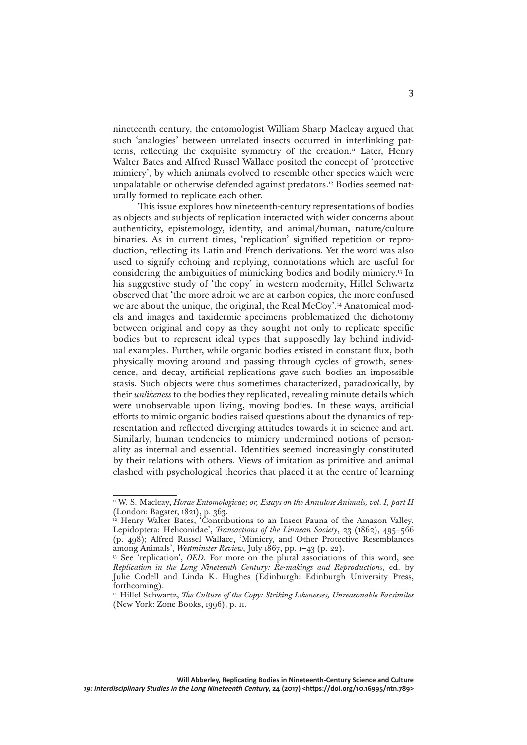nineteenth century, the entomologist William Sharp Macleay argued that such 'analogies' between unrelated insects occurred in interlinking patterns, reflecting the exquisite symmetry of the creation.<sup>11</sup> Later, Henry Walter Bates and Alfred Russel Wallace posited the concept of 'protective mimicry', by which animals evolved to resemble other species which were unpalatable or otherwise defended against predators.12 Bodies seemed naturally formed to replicate each other.

This issue explores how nineteenth-century representations of bodies as objects and subjects of replication interacted with wider concerns about authenticity, epistemology, identity, and animal/human, nature/culture binaries. As in current times, 'replication' signified repetition or reproduction, reflecting its Latin and French derivations. Yet the word was also used to signify echoing and replying, connotations which are useful for considering the ambiguities of mimicking bodies and bodily mimicry.13 In his suggestive study of 'the copy' in western modernity, Hillel Schwartz observed that 'the more adroit we are at carbon copies, the more confused we are about the unique, the original, the Real McCoy'.14 Anatomical models and images and taxidermic specimens problematized the dichotomy between original and copy as they sought not only to replicate specific bodies but to represent ideal types that supposedly lay behind individual examples. Further, while organic bodies existed in constant flux, both physically moving around and passing through cycles of growth, senescence, and decay, artificial replications gave such bodies an impossible stasis. Such objects were thus sometimes characterized, paradoxically, by their *unlikeness* to the bodies they replicated, revealing minute details which were unobservable upon living, moving bodies. In these ways, artificial efforts to mimic organic bodies raised questions about the dynamics of representation and reflected diverging attitudes towards it in science and art. Similarly, human tendencies to mimicry undermined notions of personality as internal and essential. Identities seemed increasingly constituted by their relations with others. Views of imitation as primitive and animal clashed with psychological theories that placed it at the centre of learning

<sup>&</sup>lt;sup>11</sup> W. S. Macleay, *Horae Entomologicae; or, Essays on the Annulose Animals, vol. I, part II* (London: Bagster, 1821), p. 363.

<sup>&</sup>lt;sup>12</sup> Henry Walter Bates, 'Contributions to an Insect Fauna of the Amazon Valley. Lepidoptera: Heliconidae', *Transactions of the Linnean Society*, 23 (1862), 495–566 (p. 498); Alfred Russel Wallace, 'Mimicry, and Other Protective Resemblances among Animals', *Westminster Review*, July 1867, pp. 1–43 (p. 22).

<sup>&</sup>lt;sup>13</sup> See 'replication', *OED*. For more on the plural associations of this word, see *Replication in the Long Nineteenth Century: Re-makings and Reproductions*, ed. by Julie Codell and Linda K. Hughes (Edinburgh: Edinburgh University Press, forthcoming).

<sup>&</sup>lt;sup>14</sup> Hillel Schwartz, *The Culture of the Copy: Striking Likenesses, Unreasonable Facsimiles* (New York: Zone Books, 1996), p. 11.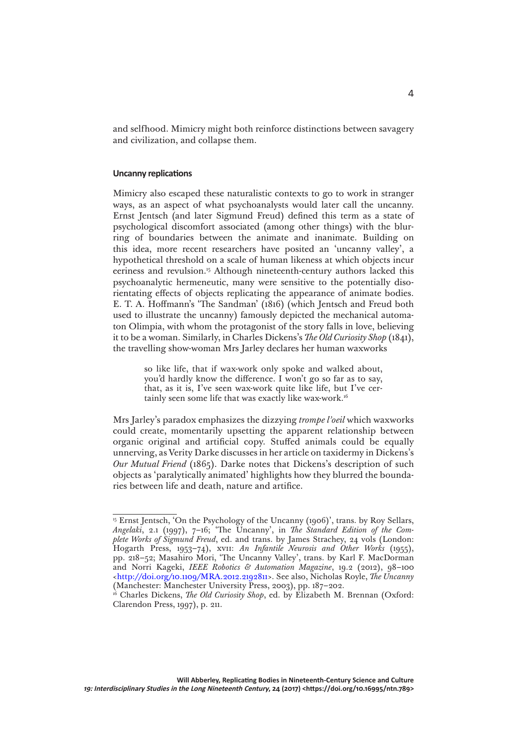and selfhood. Mimicry might both reinforce distinctions between savagery and civilization, and collapse them.

#### **Uncanny replications**

Mimicry also escaped these naturalistic contexts to go to work in stranger ways, as an aspect of what psychoanalysts would later call the uncanny. Ernst Jentsch (and later Sigmund Freud) defined this term as a state of psychological discomfort associated (among other things) with the blurring of boundaries between the animate and inanimate. Building on this idea, more recent researchers have posited an 'uncanny valley', a hypothetical threshold on a scale of human likeness at which objects incur eeriness and revulsion.<sup>15</sup> Although nineteenth-century authors lacked this psychoanalytic hermeneutic, many were sensitive to the potentially disorientating effects of objects replicating the appearance of animate bodies. E. T. A. Hoffmann's 'The Sandman' (1816) (which Jentsch and Freud both used to illustrate the uncanny) famously depicted the mechanical automaton Olimpia, with whom the protagonist of the story falls in love, believing it to be a woman. Similarly, in Charles Dickens's *The Old Curiosity Shop* (1841), the travelling show-woman Mrs Jarley declares her human waxworks

> so like life, that if wax-work only spoke and walked about, you'd hardly know the difference. I won't go so far as to say, that, as it is, I've seen wax-work quite like life, but I've certainly seen some life that was exactly like wax-work.<sup>16</sup>

Mrs Jarley's paradox emphasizes the dizzying *trompe l'oeil* which waxworks could create, momentarily upsetting the apparent relationship between organic original and artificial copy. Stuffed animals could be equally unnerving, as Verity Darke discusses in her article on taxidermy in Dickens's *Our Mutual Friend* (1865). Darke notes that Dickens's description of such objects as 'paralytically animated' highlights how they blurred the boundaries between life and death, nature and artifice.

<sup>&</sup>lt;sup>15</sup> Ernst Jentsch, 'On the Psychology of the Uncanny (1906)', trans. by Roy Sellars, *Angelaki*, 2.1 (1997), 7–16; 'The Uncanny', in *The Standard Edition of the Complete Works of Sigmund Freud*, ed. and trans. by James Strachey, 24 vols (London: Hogarth Press, 1953–74), xvii: *An Infantile Neurosis and Other Works* (1955), pp. 218–52; Masahiro Mori, 'The Uncanny Valley', trans. by Karl F. MacDorman and Norri Kageki, *IEEE Robotics & Automation Magazine*, 19.2 (2012), 98–100 [<http://doi.org/10.1109/MRA.2012.2192811](http://doi.org/10.1109/MRA.2012.2192811)>. See also, Nicholas Royle, *The Uncanny* (Manchester: Manchester University Press, 2003), pp. 187–202.

<sup>&</sup>lt;sup>16</sup> Charles Dickens, *The Old Curiosity Shop*, ed. by Elizabeth M. Brennan (Oxford: Clarendon Press, 1997), p. 211.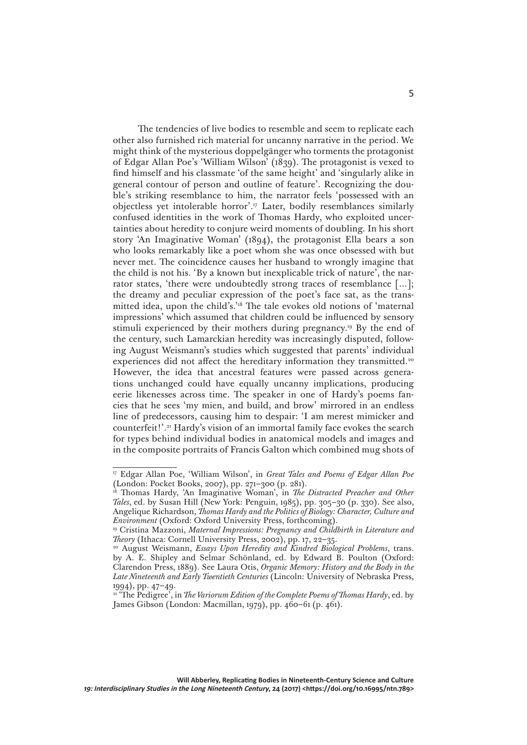The tendencies of live bodies to resemble and seem to replicate each other also furnished rich material for uncanny narrative in the period. We might think of the mysterious doppelgänger who torments the protagonist of Edgar Allan Poe's 'William Wilson' (1839). The protagonist is vexed to find himself and his classmate 'of the same height' and 'singularly alike in general contour of person and outline of feature'. Recognizing the double's striking resemblance to him, the narrator feels 'possessed with an objectless yet intolerable horror'.17 Later, bodily resemblances similarly confused identities in the work of Thomas Hardy, who exploited uncertainties about heredity to conjure weird moments of doubling. In his short story 'An Imaginative Woman' (1894), the protagonist Ella bears a son who looks remarkably like a poet whom she was once obsessed with but never met. The coincidence causes her husband to wrongly imagine that the child is not his. 'By a known but inexplicable trick of nature', the narrator states, 'there were undoubtedly strong traces of resemblance […]; the dreamy and peculiar expression of the poet's face sat, as the transmitted idea, upon the child's.'18 The tale evokes old notions of 'maternal impressions' which assumed that children could be influenced by sensory stimuli experienced by their mothers during pregnancy.19 By the end of the century, such Lamarckian heredity was increasingly disputed, following August Weismann's studies which suggested that parents' individual experiences did not affect the hereditary information they transmitted.<sup>20</sup> However, the idea that ancestral features were passed across generations unchanged could have equally uncanny implications, producing eerie likenesses across time. The speaker in one of Hardy's poems fancies that he sees 'my mien, and build, and brow' mirrored in an endless line of predecessors, causing him to despair: 'I am merest mimicker and counterfeit!'.21 Hardy's vision of an immortal family face evokes the search for types behind individual bodies in anatomical models and images and in the composite portraits of Francis Galton which combined mug shots of

<sup>17</sup> Edgar Allan Poe, 'William Wilson', in *Great Tales and Poems of Edgar Allan Poe*  (London: Pocket Books, 2007), pp. 271–300 (p. 281).

<sup>&</sup>lt;sup>18</sup> Thomas Hardy, 'An Imaginative Woman', in *The Distracted Preacher and Other Tales*, ed. by Susan Hill (New York: Penguin, 1985), pp. 305–30 (p. 330). See also, Angelique Richardson, *Thomas Hardy and the Politics of Biology: Character, Culture and Environment* (Oxford: Oxford University Press, forthcoming).

<sup>19</sup> Cristina Mazzoni, *Maternal Impressions: Pregnancy and Childbirth in Literature and Theory* (Ithaca: Cornell University Press, 2002), pp. 17, 22–35.

<sup>20</sup> August Weismann, *Essays Upon Heredity and Kindred Biological Problems*, trans. by A. E. Shipley and Selmar Schönland, ed. by Edward B. Poulton (Oxford: Clarendon Press, 1889). See Laura Otis, *Organic Memory: History and the Body in the Late Nineteenth and Early Twentieth Centuries* (Lincoln: University of Nebraska Press, 1994), pp. 47–49.

<sup>&</sup>lt;sup>21</sup> 'The Pedigree', in *The Variorum Edition of the Complete Poems of Thomas Hardy*, ed. by James Gibson (London: Macmillan, 1979), pp. 460–61 (p. 461).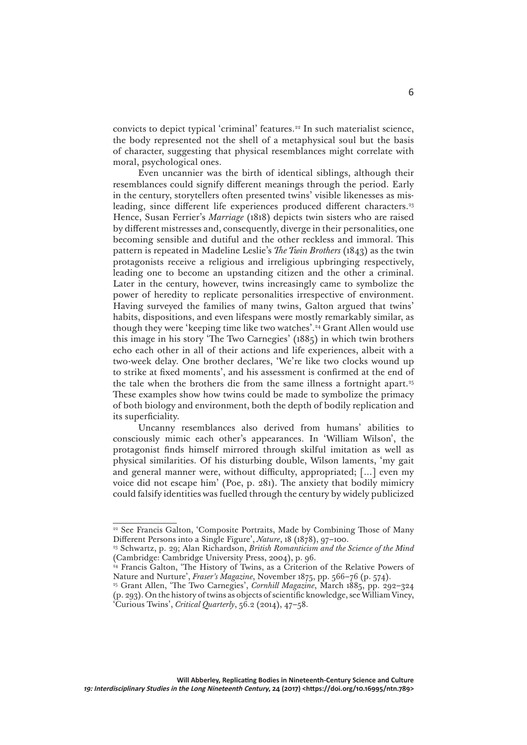convicts to depict typical 'criminal' features.<sup>22</sup> In such materialist science, the body represented not the shell of a metaphysical soul but the basis of character, suggesting that physical resemblances might correlate with moral, psychological ones.

Even uncannier was the birth of identical siblings, although their resemblances could signify different meanings through the period. Early in the century, storytellers often presented twins' visible likenesses as misleading, since different life experiences produced different characters.<sup>23</sup> Hence, Susan Ferrier's *Marriage* (1818) depicts twin sisters who are raised by different mistresses and, consequently, diverge in their personalities, one becoming sensible and dutiful and the other reckless and immoral. This pattern is repeated in Madeline Leslie's *The Twin Brothers* (1843) as the twin protagonists receive a religious and irreligious upbringing respectively, leading one to become an upstanding citizen and the other a criminal. Later in the century, however, twins increasingly came to symbolize the power of heredity to replicate personalities irrespective of environment. Having surveyed the families of many twins, Galton argued that twins' habits, dispositions, and even lifespans were mostly remarkably similar, as though they were 'keeping time like two watches'.24 Grant Allen would use this image in his story 'The Two Carnegies' (1885) in which twin brothers echo each other in all of their actions and life experiences, albeit with a two-week delay. One brother declares, 'We're like two clocks wound up to strike at fixed moments', and his assessment is confirmed at the end of the tale when the brothers die from the same illness a fortnight apart.25 These examples show how twins could be made to symbolize the primacy of both biology and environment, both the depth of bodily replication and its superficiality.

Uncanny resemblances also derived from humans' abilities to consciously mimic each other's appearances. In 'William Wilson', the protagonist finds himself mirrored through skilful imitation as well as physical similarities. Of his disturbing double, Wilson laments, 'my gait and general manner were, without difficulty, appropriated; […] even my voice did not escape him' (Poe, p. 281). The anxiety that bodily mimicry could falsify identities was fuelled through the century by widely publicized

<sup>&</sup>lt;sup>22</sup> See Francis Galton, 'Composite Portraits, Made by Combining Those of Many Different Persons into a Single Figure', *Nature*, 18 (1878), 97–100.

<sup>23</sup> Schwartz, p. 29; Alan Richardson, *British Romanticism and the Science of the Mind*  (Cambridge: Cambridge University Press, 2004), p. 96.

<sup>&</sup>lt;sup>24</sup> Francis Galton, 'The History of Twins, as a Criterion of the Relative Powers of Nature and Nurture', *Fraser's Magazine*, November 1875, pp. 566–76 (p. 574).

<sup>&</sup>lt;sup>25</sup> Grant Allen, 'The Two Carnegies', *Cornhill Magazine*, March 1885, pp. 292-324 (p. 293). On the history of twins as objects of scientific knowledge, see William Viney, 'Curious Twins', *Critical Quarterly*, 56.2 (2014), 47–58.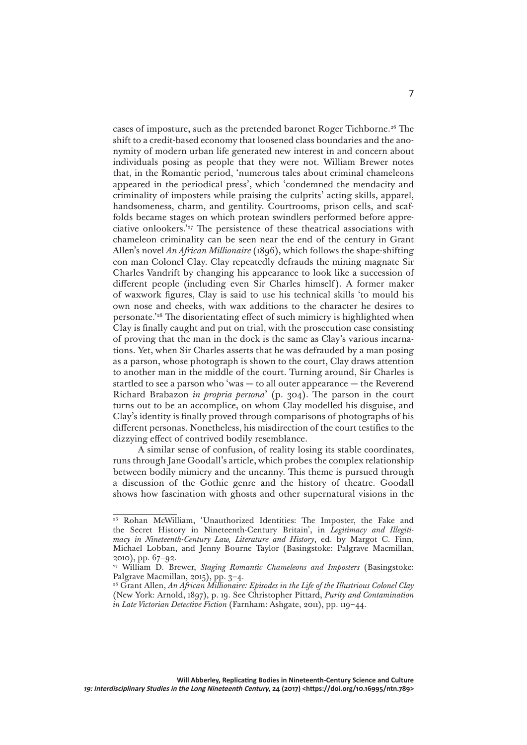cases of imposture, such as the pretended baronet Roger Tichborne.26 The shift to a credit-based economy that loosened class boundaries and the anonymity of modern urban life generated new interest in and concern about individuals posing as people that they were not. William Brewer notes that, in the Romantic period, 'numerous tales about criminal chameleons appeared in the periodical press', which 'condemned the mendacity and criminality of imposters while praising the culprits' acting skills, apparel, handsomeness, charm, and gentility. Courtrooms, prison cells, and scaffolds became stages on which protean swindlers performed before appreciative onlookers.'27 The persistence of these theatrical associations with chameleon criminality can be seen near the end of the century in Grant Allen's novel *An African Millionaire* (1896), which follows the shape-shifting con man Colonel Clay. Clay repeatedly defrauds the mining magnate Sir Charles Vandrift by changing his appearance to look like a succession of different people (including even Sir Charles himself). A former maker of waxwork figures, Clay is said to use his technical skills 'to mould his own nose and cheeks, with wax additions to the character he desires to personate.'28 The disorientating effect of such mimicry is highlighted when Clay is finally caught and put on trial, with the prosecution case consisting of proving that the man in the dock is the same as Clay's various incarnations. Yet, when Sir Charles asserts that he was defrauded by a man posing as a parson, whose photograph is shown to the court, Clay draws attention to another man in the middle of the court. Turning around, Sir Charles is startled to see a parson who 'was — to all outer appearance — the Reverend Richard Brabazon *in propria persona*' (p. 304). The parson in the court turns out to be an accomplice, on whom Clay modelled his disguise, and Clay's identity is finally proved through comparisons of photographs of his different personas. Nonetheless, his misdirection of the court testifies to the dizzying effect of contrived bodily resemblance.

A similar sense of confusion, of reality losing its stable coordinates, runs through Jane Goodall's article, which probes the complex relationship between bodily mimicry and the uncanny. This theme is pursued through a discussion of the Gothic genre and the history of theatre. Goodall shows how fascination with ghosts and other supernatural visions in the

<sup>26</sup> Rohan McWilliam, 'Unauthorized Identities: The Imposter, the Fake and the Secret History in Nineteenth-Century Britain', in *Legitimacy and Illegitimacy in Nineteenth-Century Law, Literature and History*, ed. by Margot C. Finn, Michael Lobban, and Jenny Bourne Taylor (Basingstoke: Palgrave Macmillan, 2010), pp. 67–92.

<sup>27</sup> William D. Brewer, *Staging Romantic Chameleons and Imposters* (Basingstoke: Palgrave Macmillan, 2015), pp. 3–4.

<sup>28</sup> Grant Allen, *An African Millionaire: Episodes in the Life of the Illustrious Colonel Clay* (New York: Arnold, 1897), p. 19. See Christopher Pittard, *Purity and Contamination in Late Victorian Detective Fiction* (Farnham: Ashgate, 2011), pp. 119–44.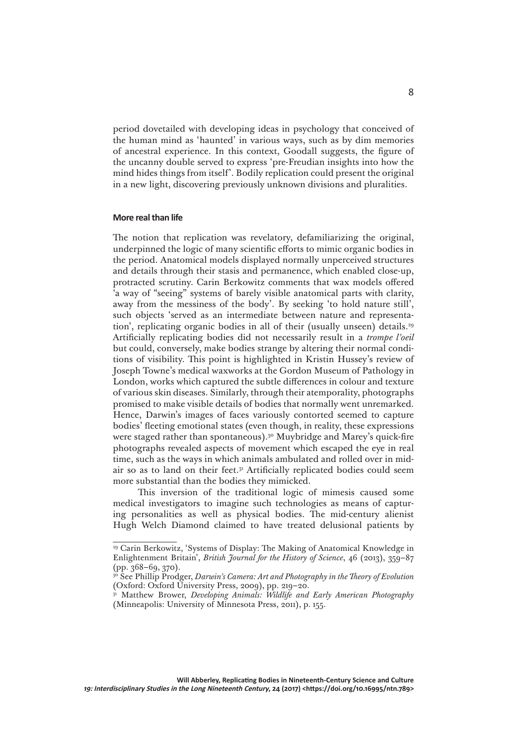period dovetailed with developing ideas in psychology that conceived of the human mind as 'haunted' in various ways, such as by dim memories of ancestral experience. In this context, Goodall suggests, the figure of the uncanny double served to express 'pre-Freudian insights into how the mind hides things from itself'. Bodily replication could present the original in a new light, discovering previously unknown divisions and pluralities.

### **More real than life**

The notion that replication was revelatory, defamiliarizing the original, underpinned the logic of many scientific efforts to mimic organic bodies in the period. Anatomical models displayed normally unperceived structures and details through their stasis and permanence, which enabled close-up, protracted scrutiny. Carin Berkowitz comments that wax models offered 'a way of "seeing" systems of barely visible anatomical parts with clarity, away from the messiness of the body'. By seeking 'to hold nature still', such objects 'served as an intermediate between nature and representation', replicating organic bodies in all of their (usually unseen) details.29 Artificially replicating bodies did not necessarily result in a *trompe l'oeil* but could, conversely, make bodies strange by altering their normal conditions of visibility. This point is highlighted in Kristin Hussey's review of Joseph Towne's medical waxworks at the Gordon Museum of Pathology in London, works which captured the subtle differences in colour and texture of various skin diseases. Similarly, through their atemporality, photographs promised to make visible details of bodies that normally went unremarked. Hence, Darwin's images of faces variously contorted seemed to capture bodies' fleeting emotional states (even though, in reality, these expressions were staged rather than spontaneous).<sup>30</sup> Muybridge and Marey's quick-fire photographs revealed aspects of movement which escaped the eye in real time, such as the ways in which animals ambulated and rolled over in midair so as to land on their feet.31 Artificially replicated bodies could seem more substantial than the bodies they mimicked.

This inversion of the traditional logic of mimesis caused some medical investigators to imagine such technologies as means of capturing personalities as well as physical bodies. The mid-century alienist Hugh Welch Diamond claimed to have treated delusional patients by

<sup>29</sup> Carin Berkowitz, 'Systems of Display: The Making of Anatomical Knowledge in Enlightenment Britain', *British Journal for the History of Science*, 46 (2013), 359–87 (pp. 368–69, 370).

<sup>30</sup> See Phillip Prodger, *Darwin's Camera: Art and Photography in the Theory of Evolution* (Oxford: Oxford University Press, 2009), pp. 219–20.

<sup>&</sup>lt;sup>31</sup> Matthew Brower, *Developing Animals: Wildlife and Early American Photography* (Minneapolis: University of Minnesota Press, 2011), p. 155.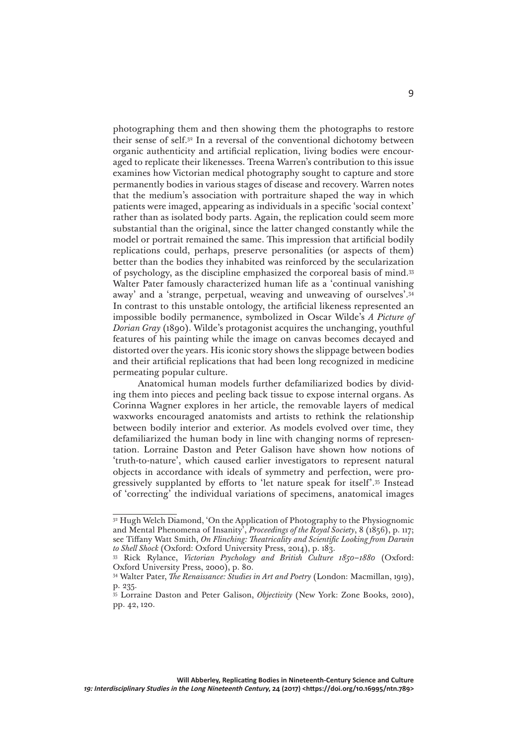photographing them and then showing them the photographs to restore their sense of self.32 In a reversal of the conventional dichotomy between organic authenticity and artificial replication, living bodies were encouraged to replicate their likenesses. Treena Warren's contribution to this issue examines how Victorian medical photography sought to capture and store permanently bodies in various stages of disease and recovery. Warren notes that the medium's association with portraiture shaped the way in which patients were imaged, appearing as individuals in a specific 'social context' rather than as isolated body parts. Again, the replication could seem more substantial than the original, since the latter changed constantly while the model or portrait remained the same. This impression that artificial bodily replications could, perhaps, preserve personalities (or aspects of them) better than the bodies they inhabited was reinforced by the secularization of psychology, as the discipline emphasized the corporeal basis of mind.33 Walter Pater famously characterized human life as a 'continual vanishing away' and a 'strange, perpetual, weaving and unweaving of ourselves'.34 In contrast to this unstable ontology, the artificial likeness represented an impossible bodily permanence, symbolized in Oscar Wilde's *A Picture of Dorian Gray* (1890). Wilde's protagonist acquires the unchanging, youthful features of his painting while the image on canvas becomes decayed and distorted over the years. His iconic story shows the slippage between bodies and their artificial replications that had been long recognized in medicine permeating popular culture.

Anatomical human models further defamiliarized bodies by dividing them into pieces and peeling back tissue to expose internal organs. As Corinna Wagner explores in her article, the removable layers of medical waxworks encouraged anatomists and artists to rethink the relationship between bodily interior and exterior. As models evolved over time, they defamiliarized the human body in line with changing norms of representation. Lorraine Daston and Peter Galison have shown how notions of 'truth-to-nature', which caused earlier investigators to represent natural objects in accordance with ideals of symmetry and perfection, were progressively supplanted by efforts to 'let nature speak for itself'.35 Instead of 'correcting' the individual variations of specimens, anatomical images

<sup>&</sup>lt;sup>32</sup> Hugh Welch Diamond, 'On the Application of Photography to the Physiognomic and Mental Phenomena of Insanity', *Proceedings of the Royal Society*, 8 (1856), p. 117; see Tiffany Watt Smith, *On Flinching: Theatricality and Scientific Looking from Darwin to Shell Shock* (Oxford: Oxford University Press, 2014), p. 183.

<sup>33</sup> Rick Rylance, *Victorian Psychology and British Culture 1850–1880* (Oxford: Oxford University Press, 2000), p. 80.

<sup>34</sup> Walter Pater, *The Renaissance: Studies in Art and Poetry* (London: Macmillan, 1919), p. 235.

<sup>35</sup> Lorraine Daston and Peter Galison, *Objectivity* (New York: Zone Books, 2010), pp. 42, 120.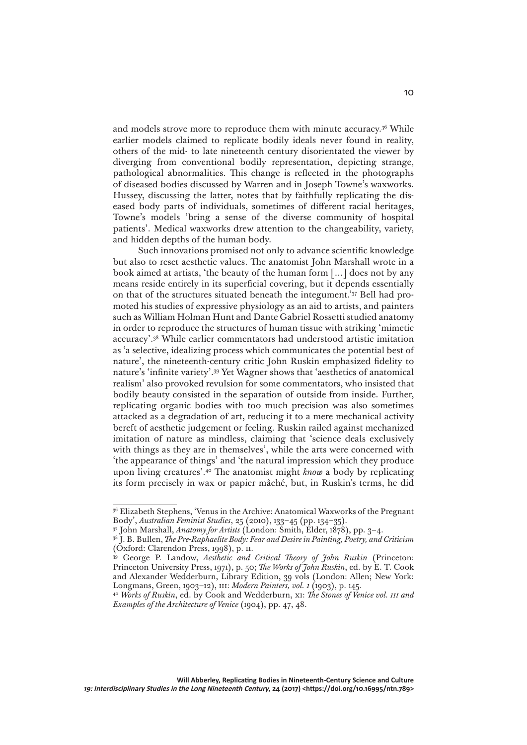and models strove more to reproduce them with minute accuracy.36 While earlier models claimed to replicate bodily ideals never found in reality, others of the mid- to late nineteenth century disorientated the viewer by diverging from conventional bodily representation, depicting strange, pathological abnormalities. This change is reflected in the photographs of diseased bodies discussed by Warren and in Joseph Towne's waxworks. Hussey, discussing the latter, notes that by faithfully replicating the diseased body parts of individuals, sometimes of different racial heritages, Towne's models 'bring a sense of the diverse community of hospital patients'. Medical waxworks drew attention to the changeability, variety, and hidden depths of the human body.

Such innovations promised not only to advance scientific knowledge but also to reset aesthetic values. The anatomist John Marshall wrote in a book aimed at artists, 'the beauty of the human form […] does not by any means reside entirely in its superficial covering, but it depends essentially on that of the structures situated beneath the integument.'37 Bell had promoted his studies of expressive physiology as an aid to artists, and painters such as William Holman Hunt and Dante Gabriel Rossetti studied anatomy in order to reproduce the structures of human tissue with striking 'mimetic accuracy'.38 While earlier commentators had understood artistic imitation as 'a selective, idealizing process which communicates the potential best of nature', the nineteenth-century critic John Ruskin emphasized fidelity to nature's 'infinite variety'.39 Yet Wagner shows that 'aesthetics of anatomical realism' also provoked revulsion for some commentators, who insisted that bodily beauty consisted in the separation of outside from inside. Further, replicating organic bodies with too much precision was also sometimes attacked as a degradation of art, reducing it to a mere mechanical activity bereft of aesthetic judgement or feeling. Ruskin railed against mechanized imitation of nature as mindless, claiming that 'science deals exclusively with things as they are in themselves', while the arts were concerned with 'the appearance of things' and 'the natural impression which they produce upon living creatures'.40 The anatomist might *know* a body by replicating its form precisely in wax or papier mâché, but, in Ruskin's terms, he did

<sup>&</sup>lt;sup>36</sup> Elizabeth Stephens, 'Venus in the Archive: Anatomical Waxworks of the Pregnant Body', *Australian Feminist Studies*, 25 (2010), 133–45 (pp. 134–35).

<sup>37</sup> John Marshall, *Anatomy for Artists* (London: Smith, Elder, 1878), pp. 3–4.

<sup>38</sup> J. B. Bullen, *The Pre-Raphaelite Body: Fear and Desire in Painting, Poetry, and Criticism* (Oxford: Clarendon Press, 1998), p. 11.

<sup>39</sup> George P. Landow, *Aesthetic and Critical Theory of John Ruskin* (Princeton: Princeton University Press, 1971), p. 50; *The Works of John Ruskin*, ed. by E. T. Cook and Alexander Wedderburn, Library Edition, 39 vols (London: Allen; New York: Longmans, Green, 1903–12), iii: *Modern Painters, vol. 1* (1903), p. 145.

<sup>40</sup> *Works of Ruskin*, ed. by Cook and Wedderburn, xi: *The Stones of Venice vol. iii and Examples of the Architecture of Venice* (1904), pp. 47, 48.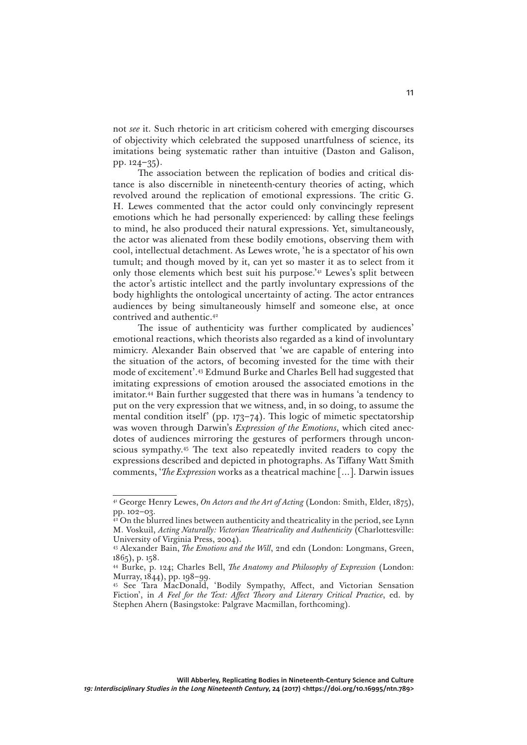not *see* it. Such rhetoric in art criticism cohered with emerging discourses of objectivity which celebrated the supposed unartfulness of science, its imitations being systematic rather than intuitive (Daston and Galison, pp. 124–35).

The association between the replication of bodies and critical distance is also discernible in nineteenth-century theories of acting, which revolved around the replication of emotional expressions. The critic G. H. Lewes commented that the actor could only convincingly represent emotions which he had personally experienced: by calling these feelings to mind, he also produced their natural expressions. Yet, simultaneously, the actor was alienated from these bodily emotions, observing them with cool, intellectual detachment. As Lewes wrote, 'he is a spectator of his own tumult; and though moved by it, can yet so master it as to select from it only those elements which best suit his purpose.'41 Lewes's split between the actor's artistic intellect and the partly involuntary expressions of the body highlights the ontological uncertainty of acting. The actor entrances audiences by being simultaneously himself and someone else, at once contrived and authentic.42

The issue of authenticity was further complicated by audiences' emotional reactions, which theorists also regarded as a kind of involuntary mimicry. Alexander Bain observed that 'we are capable of entering into the situation of the actors, of becoming invested for the time with their mode of excitement'.43 Edmund Burke and Charles Bell had suggested that imitating expressions of emotion aroused the associated emotions in the imitator.44 Bain further suggested that there was in humans 'a tendency to put on the very expression that we witness, and, in so doing, to assume the mental condition itself' (pp. 173–74). This logic of mimetic spectatorship was woven through Darwin's *Expression of the Emotions*, which cited anecdotes of audiences mirroring the gestures of performers through unconscious sympathy.45 The text also repeatedly invited readers to copy the expressions described and depicted in photographs. As Tiffany Watt Smith comments, '*The Expression* works as a theatrical machine […]. Darwin issues

<sup>41</sup> George Henry Lewes, *On Actors and the Art of Acting* (London: Smith, Elder, 1875), pp. 102–03.

<sup>&</sup>lt;sup>42</sup> On the blurred lines between authenticity and theatricality in the period, see Lynn M. Voskuil, *Acting Naturally: Victorian Theatricality and Authenticity* (Charlottesville: University of Virginia Press, 2004).

<sup>43</sup> Alexander Bain, *The Emotions and the Will*, 2nd edn (London: Longmans, Green, 1865), p. 158.

<sup>44</sup> Burke, p. 124; Charles Bell, *The Anatomy and Philosophy of Expression* (London: Murray, 1844), pp. 198–99.

<sup>45</sup> See Tara MacDonald, 'Bodily Sympathy, Affect, and Victorian Sensation Fiction', in *A Feel for the Text: Affect Theory and Literary Critical Practice*, ed. by Stephen Ahern (Basingstoke: Palgrave Macmillan, forthcoming).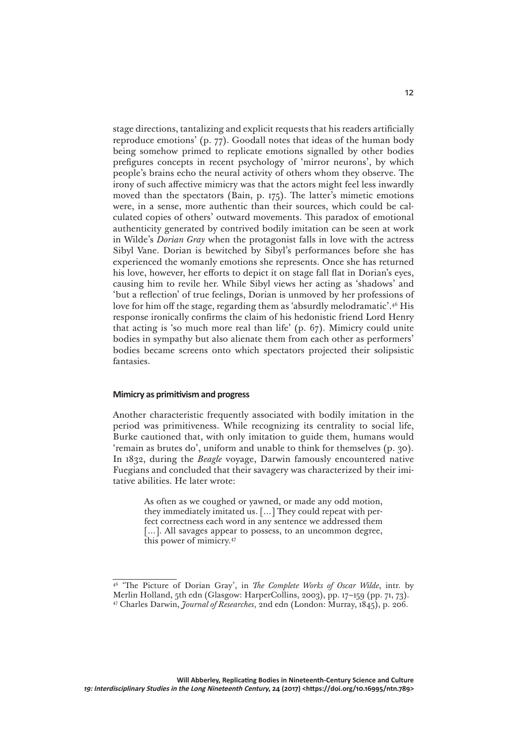stage directions, tantalizing and explicit requests that his readers artificially reproduce emotions' (p. 77). Goodall notes that ideas of the human body being somehow primed to replicate emotions signalled by other bodies prefigures concepts in recent psychology of 'mirror neurons', by which people's brains echo the neural activity of others whom they observe. The irony of such affective mimicry was that the actors might feel less inwardly moved than the spectators (Bain, p. 175). The latter's mimetic emotions were, in a sense, more authentic than their sources, which could be calculated copies of others' outward movements. This paradox of emotional authenticity generated by contrived bodily imitation can be seen at work in Wilde's *Dorian Gray* when the protagonist falls in love with the actress Sibyl Vane. Dorian is bewitched by Sibyl's performances before she has experienced the womanly emotions she represents. Once she has returned his love, however, her efforts to depict it on stage fall flat in Dorian's eyes, causing him to revile her. While Sibyl views her acting as 'shadows' and 'but a reflection' of true feelings, Dorian is unmoved by her professions of love for him off the stage, regarding them as 'absurdly melodramatic'.46 His response ironically confirms the claim of his hedonistic friend Lord Henry that acting is 'so much more real than life' (p. 67). Mimicry could unite bodies in sympathy but also alienate them from each other as performers' bodies became screens onto which spectators projected their solipsistic fantasies.

#### **Mimicry as primitivism and progress**

Another characteristic frequently associated with bodily imitation in the period was primitiveness. While recognizing its centrality to social life, Burke cautioned that, with only imitation to guide them, humans would 'remain as brutes do', uniform and unable to think for themselves (p. 30). In 1832, during the *Beagle* voyage, Darwin famously encountered native Fuegians and concluded that their savagery was characterized by their imitative abilities. He later wrote:

> As often as we coughed or yawned, or made any odd motion, they immediately imitated us. […] They could repeat with perfect correctness each word in any sentence we addressed them [...]. All savages appear to possess, to an uncommon degree, this power of mimicry.47

<sup>46 &#</sup>x27;The Picture of Dorian Gray', in *The Complete Works of Oscar Wilde*, intr. by Merlin Holland, 5th edn (Glasgow: HarperCollins, 2003), pp. 17–159 (pp. 71, 73). 47 Charles Darwin, *Journal of Researches*, 2nd edn (London: Murray, 1845), p. 206.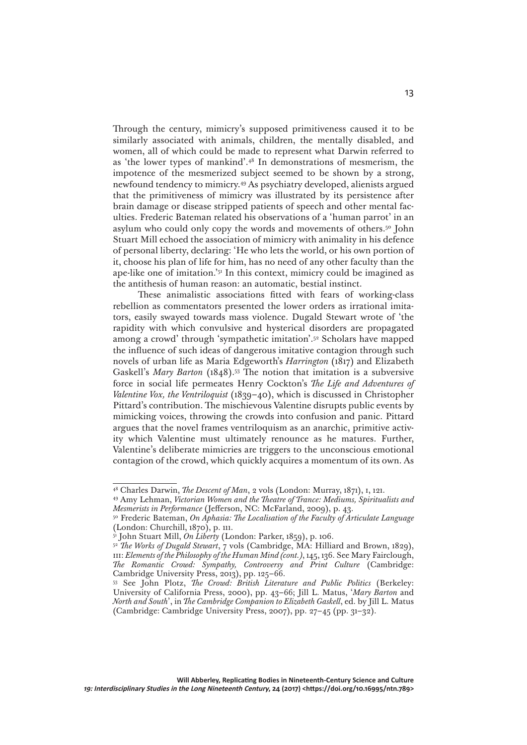Through the century, mimicry's supposed primitiveness caused it to be similarly associated with animals, children, the mentally disabled, and women, all of which could be made to represent what Darwin referred to as 'the lower types of mankind'.48 In demonstrations of mesmerism, the impotence of the mesmerized subject seemed to be shown by a strong, newfound tendency to mimicry.49 As psychiatry developed, alienists argued that the primitiveness of mimicry was illustrated by its persistence after brain damage or disease stripped patients of speech and other mental faculties. Frederic Bateman related his observations of a 'human parrot' in an asylum who could only copy the words and movements of others.<sup>50</sup> John Stuart Mill echoed the association of mimicry with animality in his defence of personal liberty, declaring: 'He who lets the world, or his own portion of it, choose his plan of life for him, has no need of any other faculty than the ape-like one of imitation.'51 In this context, mimicry could be imagined as the antithesis of human reason: an automatic, bestial instinct.

These animalistic associations fitted with fears of working-class rebellion as commentators presented the lower orders as irrational imitators, easily swayed towards mass violence. Dugald Stewart wrote of 'the rapidity with which convulsive and hysterical disorders are propagated among a crowd' through 'sympathetic imitation'.52 Scholars have mapped the influence of such ideas of dangerous imitative contagion through such novels of urban life as Maria Edgeworth's *Harrington* (1817) and Elizabeth Gaskell's *Mary Barton* (1848).53 The notion that imitation is a subversive force in social life permeates Henry Cockton's *The Life and Adventures of Valentine Vox, the Ventriloquist* (1839–40), which is discussed in Christopher Pittard's contribution. The mischievous Valentine disrupts public events by mimicking voices, throwing the crowds into confusion and panic. Pittard argues that the novel frames ventriloquism as an anarchic, primitive activity which Valentine must ultimately renounce as he matures. Further, Valentine's deliberate mimicries are triggers to the unconscious emotional contagion of the crowd, which quickly acquires a momentum of its own. As

<sup>48</sup> Charles Darwin, *The Descent of Man*, 2 vols (London: Murray, 1871), i, 121.

<sup>49</sup> Amy Lehman, *Victorian Women and the Theatre of Trance: Mediums, Spiritualists and Mesmerists in Performance* (Jefferson, NC: McFarland, 2009), p. 43.

<sup>50</sup> Frederic Bateman, *On Aphasia: The Localisation of the Faculty of Articulate Language* (London: Churchill, 1870), p. 111.

<sup>51</sup> John Stuart Mill, *On Liberty* (London: Parker, 1859), p. 106.

<sup>52</sup> *The Works of Dugald Stewart*, 7 vols (Cambridge, MA: Hilliard and Brown, 1829), iii: *Elements of the Philosophy of the Human Mind (cont.)*, 145, 136. See Mary Fairclough, *The Romantic Crowd: Sympathy, Controversy and Print Culture* (Cambridge: Cambridge University Press, 2013), pp. 125–66.

<sup>53</sup> See John Plotz, *The Crowd: British Literature and Public Politics* (Berkeley: University of California Press, 2000), pp. 43–66; Jill L. Matus, '*Mary Barton* and *North and South*', in *The Cambridge Companion to Elizabeth Gaskell*, ed. by Jill L. Matus (Cambridge: Cambridge University Press, 2007), pp. 27–45 (pp. 31–32).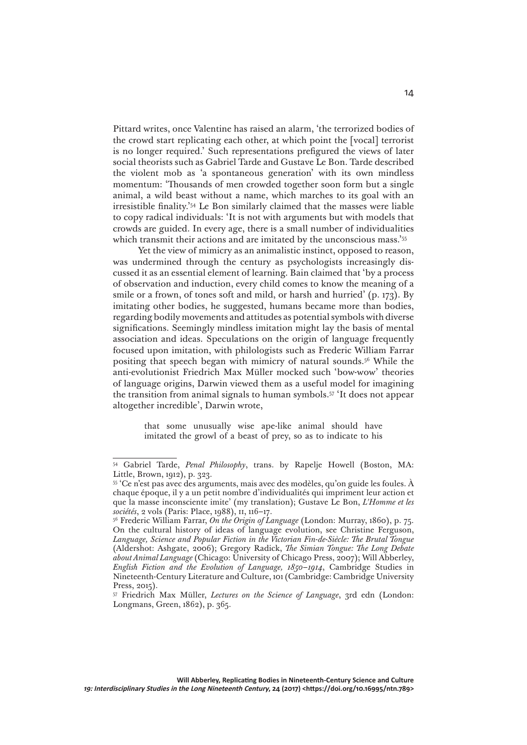Pittard writes, once Valentine has raised an alarm, 'the terrorized bodies of the crowd start replicating each other, at which point the [vocal] terrorist is no longer required.' Such representations prefigured the views of later social theorists such as Gabriel Tarde and Gustave Le Bon. Tarde described the violent mob as 'a spontaneous generation' with its own mindless momentum: 'Thousands of men crowded together soon form but a single animal, a wild beast without a name, which marches to its goal with an irresistible finality.'54 Le Bon similarly claimed that the masses were liable to copy radical individuals: 'It is not with arguments but with models that crowds are guided. In every age, there is a small number of individualities which transmit their actions and are imitated by the unconscious mass.'<sup>55</sup>

Yet the view of mimicry as an animalistic instinct, opposed to reason, was undermined through the century as psychologists increasingly discussed it as an essential element of learning. Bain claimed that 'by a process of observation and induction, every child comes to know the meaning of a smile or a frown, of tones soft and mild, or harsh and hurried' (p. 173). By imitating other bodies, he suggested, humans became more than bodies, regarding bodily movements and attitudes as potential symbols with diverse significations. Seemingly mindless imitation might lay the basis of mental association and ideas. Speculations on the origin of language frequently focused upon imitation, with philologists such as Frederic William Farrar positing that speech began with mimicry of natural sounds.<sup>56</sup> While the anti-evolutionist Friedrich Max Müller mocked such 'bow-wow' theories of language origins, Darwin viewed them as a useful model for imagining the transition from animal signals to human symbols.57 'It does not appear altogether incredible', Darwin wrote,

> that some unusually wise ape-like animal should have imitated the growl of a beast of prey, so as to indicate to his

<sup>54</sup> Gabriel Tarde, *Penal Philosophy*, trans. by Rapelje Howell (Boston, MA: Little, Brown, 1912), p. 323.

<sup>55 &#</sup>x27;Ce n'est pas avec des arguments, mais avec des modèles, qu'on guide les foules. À chaque époque, il y a un petit nombre d'individualités qui impriment leur action et que la masse inconsciente imite' (my translation); Gustave Le Bon, *L'Homme et les sociétés*, 2 vols (Paris: Place, 1988), ii, 116–17.

<sup>56</sup> Frederic William Farrar, *On the Origin of Language* (London: Murray, 1860), p. 75. On the cultural history of ideas of language evolution, see Christine Ferguson, *Language, Science and Popular Fiction in the Victorian Fin-de-Siècle: The Brutal Tongue* (Aldershot: Ashgate, 2006); Gregory Radick, *The Simian Tongue: The Long Debate about Animal Language* (Chicago: University of Chicago Press, 2007); Will Abberley, *English Fiction and the Evolution of Language, 1850–1914*, Cambridge Studies in Nineteenth-Century Literature and Culture, 101 (Cambridge: Cambridge University Press, 2015).

<sup>57</sup> Friedrich Max Müller, *Lectures on the Science of Language*, 3rd edn (London: Longmans, Green, 1862), p. 365.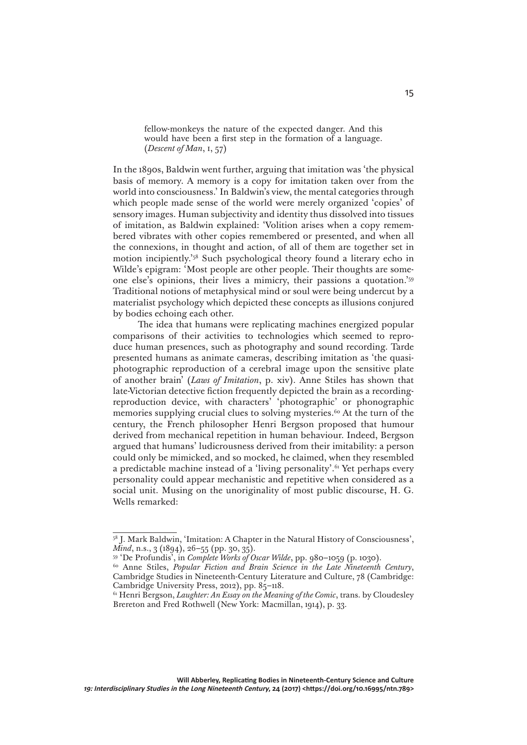fellow-monkeys the nature of the expected danger. And this would have been a first step in the formation of a language. (*Descent of Man*, i, 57)

In the 1890s, Baldwin went further, arguing that imitation was 'the physical basis of memory. A memory is a copy for imitation taken over from the world into consciousness.' In Baldwin's view, the mental categories through which people made sense of the world were merely organized 'copies' of sensory images. Human subjectivity and identity thus dissolved into tissues of imitation, as Baldwin explained: 'Volition arises when a copy remembered vibrates with other copies remembered or presented, and when all the connexions, in thought and action, of all of them are together set in motion incipiently.'58 Such psychological theory found a literary echo in Wilde's epigram: 'Most people are other people. Their thoughts are someone else's opinions, their lives a mimicry, their passions a quotation.'59 Traditional notions of metaphysical mind or soul were being undercut by a materialist psychology which depicted these concepts as illusions conjured by bodies echoing each other.

The idea that humans were replicating machines energized popular comparisons of their activities to technologies which seemed to reproduce human presences, such as photography and sound recording. Tarde presented humans as animate cameras, describing imitation as 'the quasiphotographic reproduction of a cerebral image upon the sensitive plate of another brain' (*Laws of Imitation*, p. xiv). Anne Stiles has shown that late-Victorian detective fiction frequently depicted the brain as a recordingreproduction device, with characters' 'photographic' or phonographic memories supplying crucial clues to solving mysteries.<sup>60</sup> At the turn of the century, the French philosopher Henri Bergson proposed that humour derived from mechanical repetition in human behaviour. Indeed, Bergson argued that humans' ludicrousness derived from their imitability: a person could only be mimicked, and so mocked, he claimed, when they resembled a predictable machine instead of a 'living personality'.<sup>61</sup> Yet perhaps every personality could appear mechanistic and repetitive when considered as a social unit. Musing on the unoriginality of most public discourse, H. G. Wells remarked:

<sup>58</sup> J. Mark Baldwin, 'Imitation: A Chapter in the Natural History of Consciousness', *Mind*, n.s., 3 (1894), 26–55 (pp. 30, 35).

<sup>59 &#</sup>x27;De Profundis', in *Complete Works of Oscar Wilde*, pp. 980–1059 (p. 1030).

<sup>60</sup> Anne Stiles, *Popular Fiction and Brain Science in the Late Nineteenth Century*, Cambridge Studies in Nineteenth-Century Literature and Culture, 78 (Cambridge: Cambridge University Press, 2012), pp. 85–118.

<sup>61</sup> Henri Bergson, *Laughter: An Essay on the Meaning of the Comic*, trans. by Cloudesley Brereton and Fred Rothwell (New York: Macmillan, 1914), p. 33.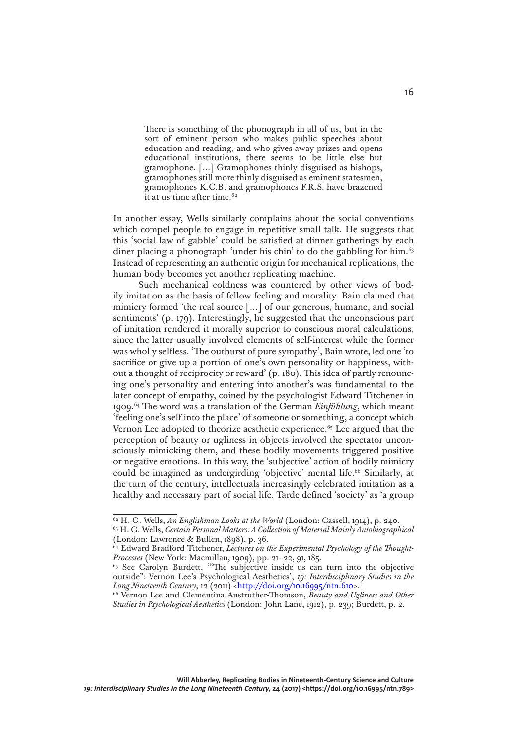There is something of the phonograph in all of us, but in the sort of eminent person who makes public speeches about education and reading, and who gives away prizes and opens educational institutions, there seems to be little else but gramophone. […] Gramophones thinly disguised as bishops, gramophones still more thinly disguised as eminent statesmen, gramophones K.C.B. and gramophones F.R.S. have brazened it at us time after time.62

In another essay, Wells similarly complains about the social conventions which compel people to engage in repetitive small talk. He suggests that this 'social law of gabble' could be satisfied at dinner gatherings by each diner placing a phonograph 'under his chin' to do the gabbling for him.<sup>63</sup> Instead of representing an authentic origin for mechanical replications, the human body becomes yet another replicating machine.

Such mechanical coldness was countered by other views of bodily imitation as the basis of fellow feeling and morality. Bain claimed that mimicry formed 'the real source […] of our generous, humane, and social sentiments' (p. 179). Interestingly, he suggested that the unconscious part of imitation rendered it morally superior to conscious moral calculations, since the latter usually involved elements of self-interest while the former was wholly selfless. 'The outburst of pure sympathy', Bain wrote, led one 'to sacrifice or give up a portion of one's own personality or happiness, without a thought of reciprocity or reward' (p. 180). This idea of partly renouncing one's personality and entering into another's was fundamental to the later concept of empathy, coined by the psychologist Edward Titchener in 1909.64 The word was a translation of the German *Einfühlung*, which meant 'feeling one's self into the place' of someone or something, a concept which Vernon Lee adopted to theorize aesthetic experience.<sup>65</sup> Lee argued that the perception of beauty or ugliness in objects involved the spectator unconsciously mimicking them, and these bodily movements triggered positive or negative emotions. In this way, the 'subjective' action of bodily mimicry could be imagined as undergirding 'objective' mental life.<sup>66</sup> Similarly, at the turn of the century, intellectuals increasingly celebrated imitation as a healthy and necessary part of social life. Tarde defined 'society' as 'a group

<sup>62</sup> H. G. Wells, *An Englishman Looks at the World* (London: Cassell, 1914), p. 240.

<sup>63</sup> H. G. Wells, *Certain Personal Matters: A Collection of Material Mainly Autobiographical* (London: Lawrence & Bullen, 1898), p. 36.

<sup>64</sup> Edward Bradford Titchener, *Lectures on the Experimental Psychology of the Thought-Processes* (New York: Macmillan, 1909), pp. 21–22, 91, 185.

<sup>&</sup>lt;sup>65</sup> See Carolyn Burdett, "The subjective inside us can turn into the objective outside": Vernon Lee's Psychological Aesthetics', *19: Interdisciplinary Studies in the Long Nineteenth Century*, 12 (2011) [<http://doi.org/10.16995/ntn.610](http://doi.org/10.16995/ntn.610)>.

<sup>66</sup> Vernon Lee and Clementina Anstruther-Thomson, *Beauty and Ugliness and Other Studies in Psychological Aesthetics* (London: John Lane, 1912), p. 239; Burdett, p. 2.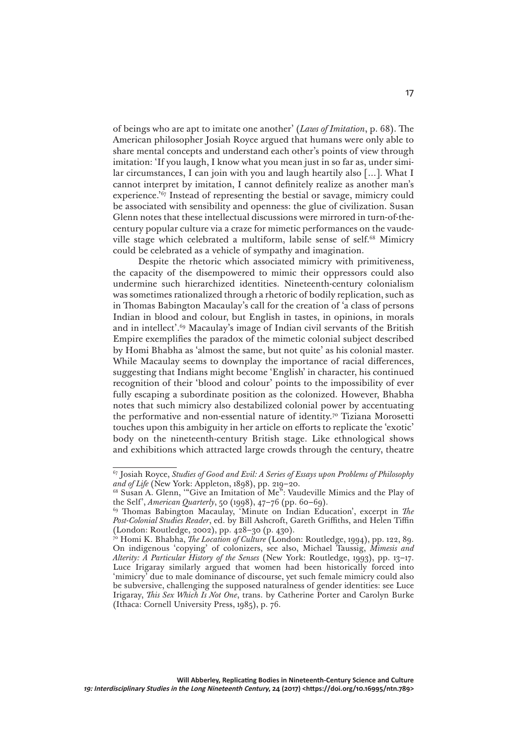of beings who are apt to imitate one another' (*Laws of Imitation*, p. 68). The American philosopher Josiah Royce argued that humans were only able to share mental concepts and understand each other's points of view through imitation: 'If you laugh, I know what you mean just in so far as, under similar circumstances, I can join with you and laugh heartily also […]. What I cannot interpret by imitation, I cannot definitely realize as another man's experience.'67 Instead of representing the bestial or savage, mimicry could be associated with sensibility and openness: the glue of civilization. Susan Glenn notes that these intellectual discussions were mirrored in turn-of-thecentury popular culture via a craze for mimetic performances on the vaudeville stage which celebrated a multiform, labile sense of self.<sup>68</sup> Mimicry could be celebrated as a vehicle of sympathy and imagination.

Despite the rhetoric which associated mimicry with primitiveness, the capacity of the disempowered to mimic their oppressors could also undermine such hierarchized identities. Nineteenth-century colonialism was sometimes rationalized through a rhetoric of bodily replication, such as in Thomas Babington Macaulay's call for the creation of 'a class of persons Indian in blood and colour, but English in tastes, in opinions, in morals and in intellect'.69 Macaulay's image of Indian civil servants of the British Empire exemplifies the paradox of the mimetic colonial subject described by Homi Bhabha as 'almost the same, but not quite' as his colonial master. While Macaulay seems to downplay the importance of racial differences, suggesting that Indians might become 'English' in character, his continued recognition of their 'blood and colour' points to the impossibility of ever fully escaping a subordinate position as the colonized. However, Bhabha notes that such mimicry also destabilized colonial power by accentuating the performative and non-essential nature of identity.70 Tiziana Morosetti touches upon this ambiguity in her article on efforts to replicate the 'exotic' body on the nineteenth-century British stage. Like ethnological shows and exhibitions which attracted large crowds through the century, theatre

<sup>67</sup> Josiah Royce, *Studies of Good and Evil: A Series of Essays upon Problems of Philosophy and of Life* (New York: Appleton, 1898), pp. 219–20.

<sup>68</sup> Susan A. Glenn, '"Give an Imitation of Me": Vaudeville Mimics and the Play of the Self', *American Quarterly*, 50 (1998), 47–76 (pp. 60–69).

<sup>69</sup> Thomas Babington Macaulay, 'Minute on Indian Education', excerpt in *The Post-Colonial Studies Reader*, ed. by Bill Ashcroft, Gareth Griffiths, and Helen Tiffin (London: Routledge, 2002), pp. 428–30 (p. 430).

<sup>70</sup> Homi K. Bhabha, *The Location of Culture* (London: Routledge, 1994), pp. 122, 89. On indigenous 'copying' of colonizers, see also, Michael Taussig, *Mimesis and Alterity: A Particular History of the Senses* (New York: Routledge, 1993), pp. 13–17. Luce Irigaray similarly argued that women had been historically forced into 'mimicry' due to male dominance of discourse, yet such female mimicry could also be subversive, challenging the supposed naturalness of gender identities: see Luce Irigaray, *This Sex Which Is Not One*, trans. by Catherine Porter and Carolyn Burke (Ithaca: Cornell University Press, 1985), p. 76.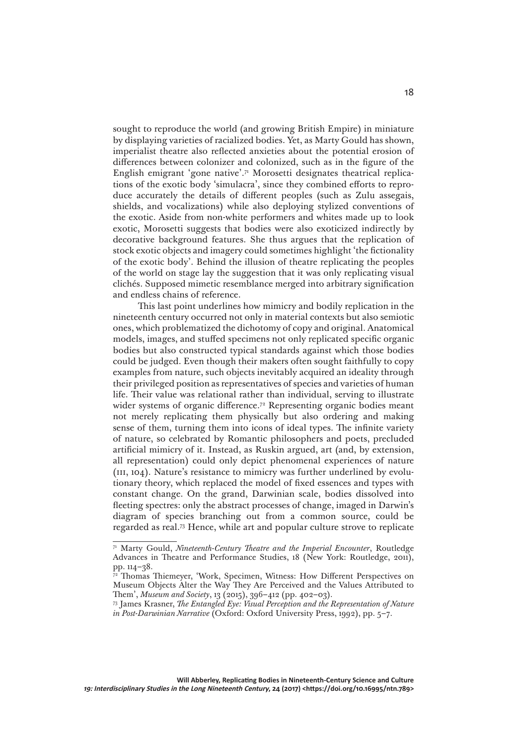sought to reproduce the world (and growing British Empire) in miniature by displaying varieties of racialized bodies. Yet, as Marty Gould has shown, imperialist theatre also reflected anxieties about the potential erosion of differences between colonizer and colonized, such as in the figure of the English emigrant 'gone native'.<sup>71</sup> Morosetti designates theatrical replications of the exotic body 'simulacra', since they combined efforts to reproduce accurately the details of different peoples (such as Zulu assegais, shields, and vocalizations) while also deploying stylized conventions of the exotic. Aside from non-white performers and whites made up to look exotic, Morosetti suggests that bodies were also exoticized indirectly by decorative background features. She thus argues that the replication of stock exotic objects and imagery could sometimes highlight 'the fictionality of the exotic body'. Behind the illusion of theatre replicating the peoples of the world on stage lay the suggestion that it was only replicating visual clichés. Supposed mimetic resemblance merged into arbitrary signification and endless chains of reference.

This last point underlines how mimicry and bodily replication in the nineteenth century occurred not only in material contexts but also semiotic ones, which problematized the dichotomy of copy and original. Anatomical models, images, and stuffed specimens not only replicated specific organic bodies but also constructed typical standards against which those bodies could be judged. Even though their makers often sought faithfully to copy examples from nature, such objects inevitably acquired an ideality through their privileged position as representatives of species and varieties of human life. Their value was relational rather than individual, serving to illustrate wider systems of organic difference.<sup>72</sup> Representing organic bodies meant not merely replicating them physically but also ordering and making sense of them, turning them into icons of ideal types. The infinite variety of nature, so celebrated by Romantic philosophers and poets, precluded artificial mimicry of it. Instead, as Ruskin argued, art (and, by extension, all representation) could only depict phenomenal experiences of nature (iii, 104). Nature's resistance to mimicry was further underlined by evolutionary theory, which replaced the model of fixed essences and types with constant change. On the grand, Darwinian scale, bodies dissolved into fleeting spectres: only the abstract processes of change, imaged in Darwin's diagram of species branching out from a common source, could be regarded as real.73 Hence, while art and popular culture strove to replicate

<sup>71</sup> Marty Gould, *Nineteenth-Century Theatre and the Imperial Encounter*, Routledge Advances in Theatre and Performance Studies, 18 (New York: Routledge, 2011), pp. 114–38.

<sup>&</sup>lt;sup>2</sup> Thomas Thiemeyer, 'Work, Specimen, Witness: How Different Perspectives on Museum Objects Alter the Way They Are Perceived and the Values Attributed to Them', *Museum and Society*, 13 (2015), 396–412 (pp. 402–03).

<sup>73</sup> James Krasner, *The Entangled Eye: Visual Perception and the Representation of Nature in Post-Darwinian Narrative* (Oxford: Oxford University Press, 1992), pp. 5–7.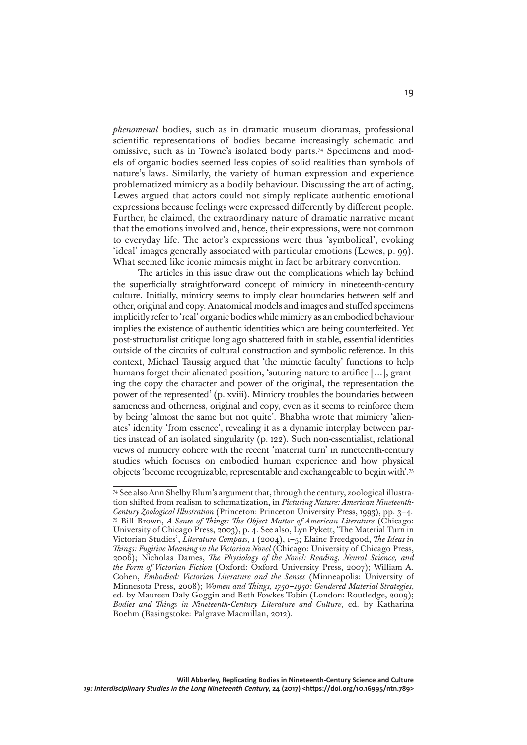*phenomenal* bodies, such as in dramatic museum dioramas, professional scientific representations of bodies became increasingly schematic and omissive, such as in Towne's isolated body parts.74 Specimens and models of organic bodies seemed less copies of solid realities than symbols of nature's laws. Similarly, the variety of human expression and experience problematized mimicry as a bodily behaviour. Discussing the art of acting, Lewes argued that actors could not simply replicate authentic emotional expressions because feelings were expressed differently by different people. Further, he claimed, the extraordinary nature of dramatic narrative meant that the emotions involved and, hence, their expressions, were not common to everyday life. The actor's expressions were thus 'symbolical', evoking 'ideal' images generally associated with particular emotions (Lewes, p. 99). What seemed like iconic mimesis might in fact be arbitrary convention.

The articles in this issue draw out the complications which lay behind the superficially straightforward concept of mimicry in nineteenth-century culture. Initially, mimicry seems to imply clear boundaries between self and other, original and copy. Anatomical models and images and stuffed specimens implicitly refer to 'real' organic bodies while mimicry as an embodied behaviour implies the existence of authentic identities which are being counterfeited. Yet post-structuralist critique long ago shattered faith in stable, essential identities outside of the circuits of cultural construction and symbolic reference. In this context, Michael Taussig argued that 'the mimetic faculty' functions to help humans forget their alienated position, 'suturing nature to artifice [...], granting the copy the character and power of the original, the representation the power of the represented' (p. xviii). Mimicry troubles the boundaries between sameness and otherness, original and copy, even as it seems to reinforce them by being 'almost the same but not quite'. Bhabha wrote that mimicry 'alienates' identity 'from essence', revealing it as a dynamic interplay between parties instead of an isolated singularity (p. 122). Such non-essentialist, relational views of mimicry cohere with the recent 'material turn' in nineteenth-century studies which focuses on embodied human experience and how physical objects 'become recognizable, representable and exchangeable to begin with'.75

<sup>74</sup> See also Ann Shelby Blum's argument that, through the century, zoological illustration shifted from realism to schematization, in *Picturing Nature: American Nineteenth-Century Zoological Illustration* (Princeton: Princeton University Press, 1993), pp. 3–4. 75 Bill Brown, *A Sense of Things: The Object Matter of American Literature* (Chicago: University of Chicago Press, 2003), p. 4. See also, Lyn Pykett, 'The Material Turn in Victorian Studies', *Literature Compass*, 1 (2004), 1–5; Elaine Freedgood, *The Ideas in Things: Fugitive Meaning in the Victorian Novel* (Chicago: University of Chicago Press, 2006); Nicholas Dames, *The Physiology of the Novel: Reading, Neural Science, and the Form of Victorian Fiction* (Oxford: Oxford University Press, 2007); William A. Cohen, *Embodied: Victorian Literature and the Senses* (Minneapolis: University of Minnesota Press, 2008); *Women and Things, 1750–1950: Gendered Material Strategies*, ed. by Maureen Daly Goggin and Beth Fowkes Tobin (London: Routledge, 2009); *Bodies and Things in Nineteenth-Century Literature and Culture*, ed. by Katharina Boehm (Basingstoke: Palgrave Macmillan, 2012).